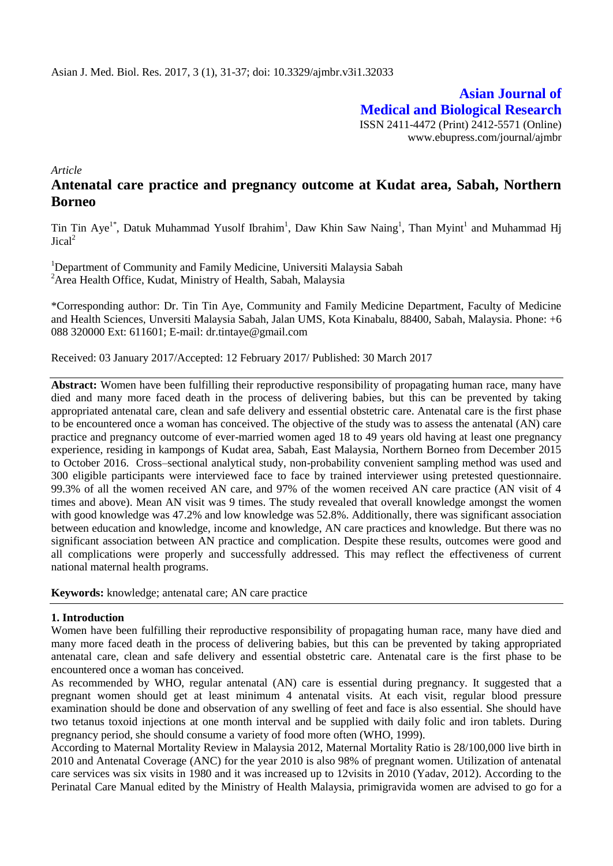**Asian Journal of Medical and Biological Research** ISSN 2411-4472 (Print) 2412-5571 (Online) www.ebupress.com/journal/ajmbr

*Article*

# **Antenatal care practice and pregnancy outcome at Kudat area, Sabah, Northern Borneo**

Tin Tin Aye<sup>1\*</sup>, Datuk Muhammad Yusolf Ibrahim<sup>1</sup>, Daw Khin Saw Naing<sup>1</sup>, Than Myint<sup>1</sup> and Muhammad Hj  $Jical<sup>2</sup>$ 

<sup>1</sup>Department of Community and Family Medicine, Universiti Malaysia Sabah <sup>2</sup> Area Health Office, Kudat, Ministry of Health, Sabah, Malaysia

\*Corresponding author: Dr. Tin Tin Aye, Community and Family Medicine Department, Faculty of Medicine and Health Sciences, Unversiti Malaysia Sabah, Jalan UMS, Kota Kinabalu, 88400, Sabah, Malaysia. Phone: +6 088 320000 Ext: 611601; E-mail: dr.tintaye@gmail.com

Received: 03 January 2017/Accepted: 12 February 2017/ Published: 30 March 2017

**Abstract:** Women have been fulfilling their reproductive responsibility of propagating human race, many have died and many more faced death in the process of delivering babies, but this can be prevented by taking appropriated antenatal care, clean and safe delivery and essential obstetric care. Antenatal care is the first phase to be encountered once a woman has conceived. The objective of the study was to assess the antenatal (AN) care practice and pregnancy outcome of ever-married women aged 18 to 49 years old having at least one pregnancy experience, residing in kampongs of Kudat area, Sabah, East Malaysia, Northern Borneo from December 2015 to October 2016. Cross–sectional analytical study, non-probability convenient sampling method was used and 300 eligible participants were interviewed face to face by trained interviewer using pretested questionnaire. 99.3% of all the women received AN care, and 97% of the women received AN care practice (AN visit of 4 times and above). Mean AN visit was 9 times. The study revealed that overall knowledge amongst the women with good knowledge was 47.2% and low knowledge was 52.8%. Additionally, there was significant association between education and knowledge, income and knowledge, AN care practices and knowledge. But there was no significant association between AN practice and complication. Despite these results, outcomes were good and all complications were properly and successfully addressed. This may reflect the effectiveness of current national maternal health programs.

**Keywords:** knowledge; antenatal care; AN care practice

# **1. Introduction**

Women have been fulfilling their reproductive responsibility of propagating human race, many have died and many more faced death in the process of delivering babies, but this can be prevented by taking appropriated antenatal care, clean and safe delivery and essential obstetric care. Antenatal care is the first phase to be encountered once a woman has conceived.

As recommended by WHO, regular antenatal (AN) care is essential during pregnancy. It suggested that a pregnant women should get at least minimum 4 antenatal visits. At each visit, regular blood pressure examination should be done and observation of any swelling of feet and face is also essential. She should have two tetanus toxoid injections at one month interval and be supplied with daily folic and iron tablets. During pregnancy period, she should consume a variety of food more often (WHO, 1999).

According to Maternal Mortality Review in Malaysia 2012, Maternal Mortality Ratio is 28/100,000 live birth in 2010 and Antenatal Coverage (ANC) for the year 2010 is also 98% of pregnant women. Utilization of antenatal care services was six visits in 1980 and it was increased up to 12visits in 2010 (Yadav, 2012). According to the Perinatal Care Manual edited by the Ministry of Health Malaysia, primigravida women are advised to go for a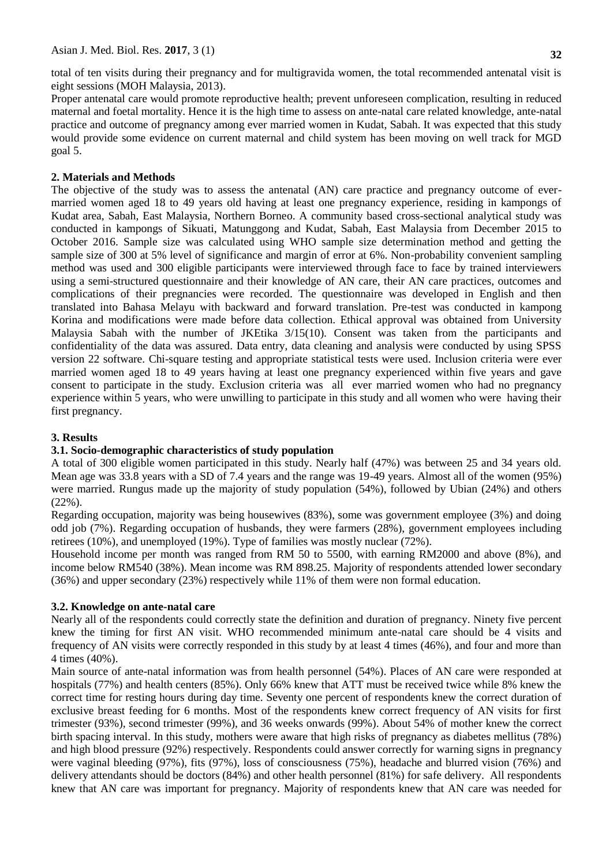total of ten visits during their pregnancy and for multigravida women, the total recommended antenatal visit is eight sessions (MOH Malaysia, 2013).

Proper antenatal care would promote reproductive health; prevent unforeseen complication, resulting in reduced maternal and foetal mortality. Hence it is the high time to assess on ante-natal care related knowledge, ante-natal practice and outcome of pregnancy among ever married women in Kudat, Sabah. It was expected that this study would provide some evidence on current maternal and child system has been moving on well track for MGD goal 5.

# **2. Materials and Methods**

The objective of the study was to assess the antenatal (AN) care practice and pregnancy outcome of evermarried women aged 18 to 49 years old having at least one pregnancy experience, residing in kampongs of Kudat area, Sabah, East Malaysia, Northern Borneo. A community based cross-sectional analytical study was conducted in kampongs of Sikuati, Matunggong and Kudat, Sabah, East Malaysia from December 2015 to October 2016. Sample size was calculated using WHO sample size determination method and getting the sample size of 300 at 5% level of significance and margin of error at 6%. Non-probability convenient sampling method was used and 300 eligible participants were interviewed through face to face by trained interviewers using a semi-structured questionnaire and their knowledge of AN care, their AN care practices, outcomes and complications of their pregnancies were recorded. The questionnaire was developed in English and then translated into Bahasa Melayu with backward and forward translation. Pre-test was conducted in kampong Korina and modifications were made before data collection. Ethical approval was obtained from University Malaysia Sabah with the number of JKEtika 3/15(10). Consent was taken from the participants and confidentiality of the data was assured. Data entry, data cleaning and analysis were conducted by using SPSS version 22 software. Chi-square testing and appropriate statistical tests were used. Inclusion criteria were ever married women aged 18 to 49 years having at least one pregnancy experienced within five years and gave consent to participate in the study. Exclusion criteria was all ever married women who had no pregnancy experience within 5 years, who were unwilling to participate in this study and all women who were having their first pregnancy.

# **3. Results**

# **3.1. Socio-demographic characteristics of study population**

A total of 300 eligible women participated in this study. Nearly half (47%) was between 25 and 34 years old. Mean age was 33.8 years with a SD of 7.4 years and the range was 19-49 years. Almost all of the women (95%) were married. Rungus made up the majority of study population (54%), followed by Ubian (24%) and others (22%).

Regarding occupation, majority was being housewives (83%), some was government employee (3%) and doing odd job (7%). Regarding occupation of husbands, they were farmers (28%), government employees including retirees (10%), and unemployed (19%). Type of families was mostly nuclear (72%).

Household income per month was ranged from RM 50 to 5500, with earning RM2000 and above (8%), and income below RM540 (38%). Mean income was RM 898.25. Majority of respondents attended lower secondary (36%) and upper secondary (23%) respectively while 11% of them were non formal education.

# **3.2. Knowledge on ante-natal care**

Nearly all of the respondents could correctly state the definition and duration of pregnancy. Ninety five percent knew the timing for first AN visit. WHO recommended minimum ante-natal care should be 4 visits and frequency of AN visits were correctly responded in this study by at least 4 times (46%), and four and more than 4 times (40%).

Main source of ante-natal information was from health personnel (54%). Places of AN care were responded at hospitals (77%) and health centers (85%). Only 66% knew that ATT must be received twice while 8% knew the correct time for resting hours during day time. Seventy one percent of respondents knew the correct duration of exclusive breast feeding for 6 months. Most of the respondents knew correct frequency of AN visits for first trimester (93%), second trimester (99%), and 36 weeks onwards (99%). About 54% of mother knew the correct birth spacing interval. In this study, mothers were aware that high risks of pregnancy as diabetes mellitus (78%) and high blood pressure (92%) respectively. Respondents could answer correctly for warning signs in pregnancy were vaginal bleeding (97%), fits (97%), loss of consciousness (75%), headache and blurred vision (76%) and delivery attendants should be doctors (84%) and other health personnel (81%) for safe delivery. All respondents knew that AN care was important for pregnancy. Majority of respondents knew that AN care was needed for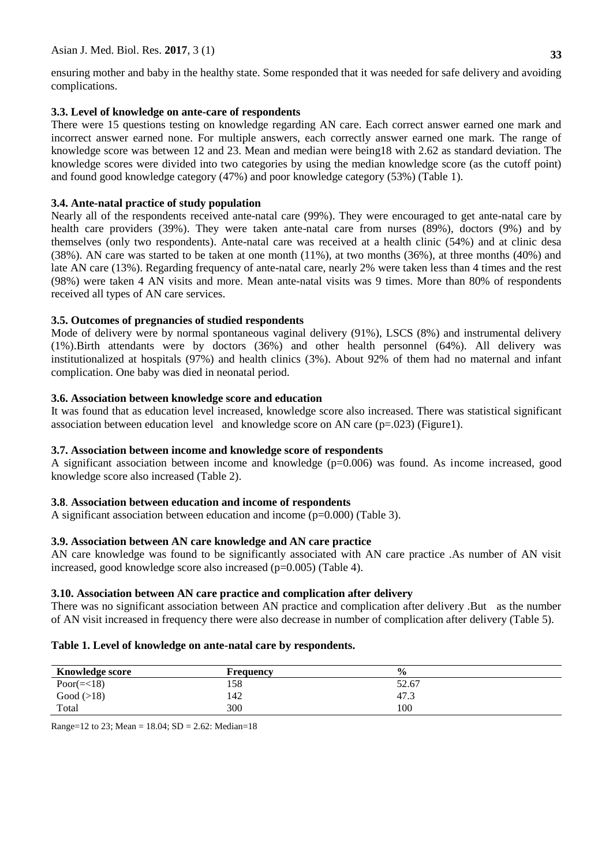ensuring mother and baby in the healthy state. Some responded that it was needed for safe delivery and avoiding complications.

# **3.3. Level of knowledge on ante-care of respondents**

There were 15 questions testing on knowledge regarding AN care. Each correct answer earned one mark and incorrect answer earned none. For multiple answers, each correctly answer earned one mark. The range of knowledge score was between 12 and 23. Mean and median were being18 with 2.62 as standard deviation. The knowledge scores were divided into two categories by using the median knowledge score (as the cutoff point) and found good knowledge category (47%) and poor knowledge category (53%) (Table 1).

# **3.4. Ante-natal practice of study population**

Nearly all of the respondents received ante-natal care (99%). They were encouraged to get ante-natal care by health care providers (39%). They were taken ante-natal care from nurses (89%), doctors (9%) and by themselves (only two respondents). Ante-natal care was received at a health clinic (54%) and at clinic desa (38%). AN care was started to be taken at one month (11%), at two months (36%), at three months (40%) and late AN care (13%). Regarding frequency of ante-natal care, nearly 2% were taken less than 4 times and the rest (98%) were taken 4 AN visits and more. Mean ante-natal visits was 9 times. More than 80% of respondents received all types of AN care services.

# **3.5. Outcomes of pregnancies of studied respondents**

Mode of delivery were by normal spontaneous vaginal delivery (91%), LSCS (8%) and instrumental delivery (1%).Birth attendants were by doctors (36%) and other health personnel (64%). All delivery was institutionalized at hospitals (97%) and health clinics (3%). About 92% of them had no maternal and infant complication. One baby was died in neonatal period.

# **3.6. Association between knowledge score and education**

It was found that as education level increased, knowledge score also increased. There was statistical significant association between education level and knowledge score on AN care  $(p=.023)$  (Figure1).

# **3.7. Association between income and knowledge score of respondents**

A significant association between income and knowledge  $(p=0.006)$  was found. As income increased, good knowledge score also increased (Table 2).

# **3.8**. **Association between education and income of respondents**

A significant association between education and income (p=0.000) (Table 3).

# **3.9. Association between AN care knowledge and AN care practice**

AN care knowledge was found to be significantly associated with AN care practice .As number of AN visit increased, good knowledge score also increased (p=0.005) (Table 4).

# **3.10. Association between AN care practice and complication after delivery**

There was no significant association between AN practice and complication after delivery .But as the number of AN visit increased in frequency there were also decrease in number of complication after delivery (Table 5).

# **Table 1. Level of knowledge on ante-natal care by respondents.**

| <b>Knowledge score</b> | Frequency | $\frac{6}{9}$ |
|------------------------|-----------|---------------|
| Poor( $=<18$ )         | 158       | 52.67         |
| Good $(>18)$           | 142       | 47.3          |
| Total                  | 300       | 100           |

Range=12 to 23; Mean =  $18.04$ ; SD =  $2.62$ : Median=18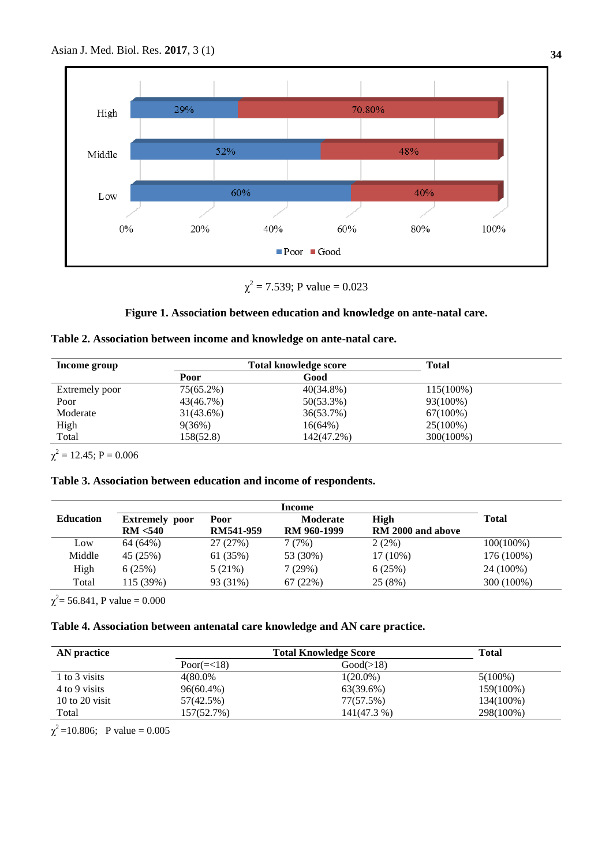

 $\chi^2$  = 7.539; P value = 0.023

# **Figure 1. Association between education and knowledge on ante-natal care.**

|  | Table 2. Association between income and knowledge on ante-natal care. |  |  |  |  |
|--|-----------------------------------------------------------------------|--|--|--|--|
|  |                                                                       |  |  |  |  |

| Total knowledge score |              | <b>Total</b> |  |
|-----------------------|--------------|--------------|--|
| Poor                  | Good         |              |  |
| 75(65.2%)             | $40(34.8\%)$ | $115(100\%)$ |  |
| 43(46.7%)             | $50(53.3\%)$ | 93(100%)     |  |
| $31(43.6\%)$          | 36(53.7%)    | $67(100\%)$  |  |
| 9(36%)                | $16(64\%)$   | $25(100\%)$  |  |
| 158(52.8)             | 142(47.2%)   | 300(100%)    |  |
|                       |              |              |  |

 $\chi^2 = 12.45; P = 0.006$ 

# **Table 3. Association between education and income of respondents.**

| Income           |                       |           |                 |                   |              |
|------------------|-----------------------|-----------|-----------------|-------------------|--------------|
| <b>Education</b> | <b>Extremely</b> poor | Poor      | <b>Moderate</b> | High              | <b>Total</b> |
|                  | RM < 540              | RM541-959 | RM 960-1999     | RM 2000 and above |              |
| Low              | 64 (64%)              | 27(27%)   | 7(7%)           | $2(2\%)$          | $100(100\%)$ |
| Middle           | 45 (25%)              | 61 (35%)  | 53 (30%)        | $17(10\%)$        | 176 (100%)   |
| High             | 6(25%)                | 5(21%)    | 7(29%)          | 6(25%)            | 24 (100%)    |
| Total            | 115 (39%)             | 93 (31%)  | 67(22%)         | 25(8%)            | 300 (100%)   |

 $\chi^2$  = 56.841, P value = 0.000

# **Table 4. Association between antenatal care knowledge and AN care practice.**

| AN practice        | <b>Total Knowledge Score</b> | <b>Total</b> |            |
|--------------------|------------------------------|--------------|------------|
|                    | Poor $(\equiv < 18)$         | Good(>18)    |            |
| 1 to 3 visits      | 4(80.0%                      | $1(20.0\%)$  | $5(100\%)$ |
| 4 to 9 visits      | $96(60.4\%)$                 | 63(39.6%)    | 159(100%)  |
| $10$ to $20$ visit | 57(42.5%)                    | 77(57.5%)    | 134(100%)  |
| Total              | 157(52.7%)                   | 141(47.3 %)  | 298(100%)  |

 $\chi^2$ =10.806; P value = 0.005

**34**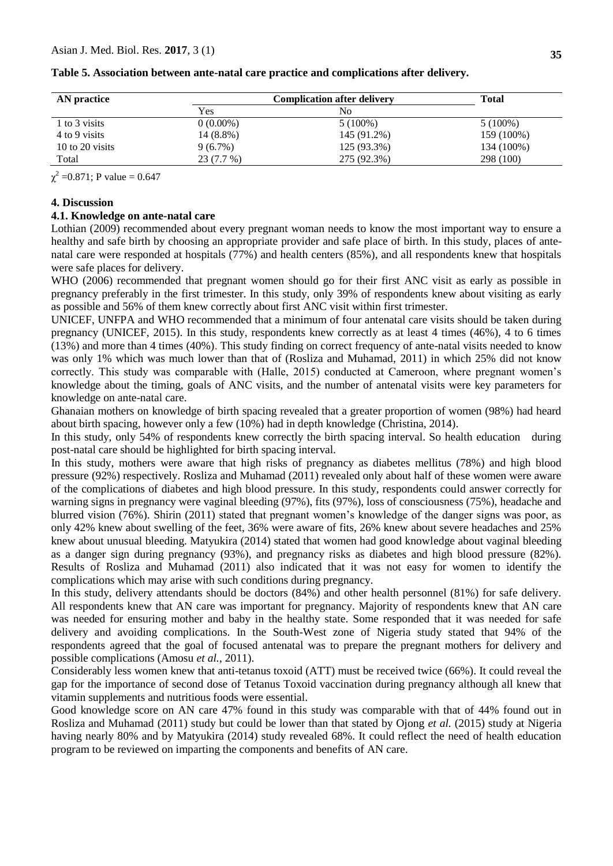| AN practice     | <b>Complication after deliverv</b> | <b>Total</b>   |            |
|-----------------|------------------------------------|----------------|------------|
|                 | Yes                                | N <sub>0</sub> |            |
| 1 to 3 visits   | $0(0.00\%)$                        | $5(100\%)$     | $5(100\%)$ |
| 4 to 9 visits   | 14 (8.8%)                          | 145 (91.2%)    | 159 (100%) |
| 10 to 20 visits | 9(6.7%)                            | 125 (93.3%)    | 134 (100%) |
| Total           | 23 (7.7 %)                         | 275 (92.3%)    | 298 (100)  |

**Table 5. Association between ante-natal care practice and complications after delivery.**

 $\chi^2$  =0.871; P value = 0.647

#### **4. Discussion**

#### **4.1. Knowledge on ante-natal care**

Lothian (2009) recommended about every pregnant woman needs to know the most important way to ensure a healthy and safe birth by choosing an appropriate provider and safe place of birth. In this study, places of antenatal care were responded at hospitals (77%) and health centers (85%), and all respondents knew that hospitals were safe places for delivery.

WHO (2006) recommended that pregnant women should go for their first ANC visit as early as possible in pregnancy preferably in the first trimester. In this study, only 39% of respondents knew about visiting as early as possible and 56% of them knew correctly about first ANC visit within first trimester.

UNICEF, UNFPA and WHO recommended that a minimum of four antenatal care visits should be taken during pregnancy (UNICEF, 2015). In this study, respondents knew correctly as at least 4 times (46%), 4 to 6 times (13%) and more than 4 times (40%). This study finding on correct frequency of ante-natal visits needed to know was only 1% which was much lower than that of (Rosliza and Muhamad, 2011) in which 25% did not know correctly. This study was comparable with (Halle, 2015) conducted at Cameroon, where pregnant women's knowledge about the timing, goals of ANC visits, and the number of antenatal visits were key parameters for knowledge on ante-natal care.

Ghanaian mothers on knowledge of birth spacing revealed that a greater proportion of women (98%) had heard about birth spacing, however only a few (10%) had in depth knowledge (Christina, 2014).

In this study, only 54% of respondents knew correctly the birth spacing interval. So health education during post-natal care should be highlighted for birth spacing interval.

In this study, mothers were aware that high risks of pregnancy as diabetes mellitus (78%) and high blood pressure (92%) respectively. Rosliza and Muhamad (2011) revealed only about half of these women were aware of the complications of diabetes and high blood pressure. In this study, respondents could answer correctly for warning signs in pregnancy were vaginal bleeding (97%), fits (97%), loss of consciousness (75%), headache and blurred vision (76%). Shirin (2011) stated that pregnant women's knowledge of the danger signs was poor, as only 42% knew about swelling of the feet, 36% were aware of fits, 26% knew about severe headaches and 25% knew about unusual bleeding. Matyukira (2014) stated that women had good knowledge about vaginal bleeding as a danger sign during pregnancy (93%), and pregnancy risks as diabetes and high blood pressure (82%). Results of Rosliza and Muhamad (2011) also indicated that it was not easy for women to identify the complications which may arise with such conditions during pregnancy.

In this study, delivery attendants should be doctors (84%) and other health personnel (81%) for safe delivery. All respondents knew that AN care was important for pregnancy. Majority of respondents knew that AN care was needed for ensuring mother and baby in the healthy state. Some responded that it was needed for safe delivery and avoiding complications. In the South-West zone of Nigeria study stated that 94% of the respondents agreed that the goal of focused antenatal was to prepare the pregnant mothers for delivery and possible complications (Amosu *et al.*, 2011).

Considerably less women knew that anti-tetanus toxoid (ATT) must be received twice (66%). It could reveal the gap for the importance of second dose of Tetanus Toxoid vaccination during pregnancy although all knew that vitamin supplements and nutritious foods were essential.

Good knowledge score on AN care 47% found in this study was comparable with that of 44% found out in Rosliza and Muhamad (2011) study but could be lower than that stated by Ojong *et al.* (2015) study at Nigeria having nearly 80% and by Matyukira (2014) study revealed 68%. It could reflect the need of health education program to be reviewed on imparting the components and benefits of AN care.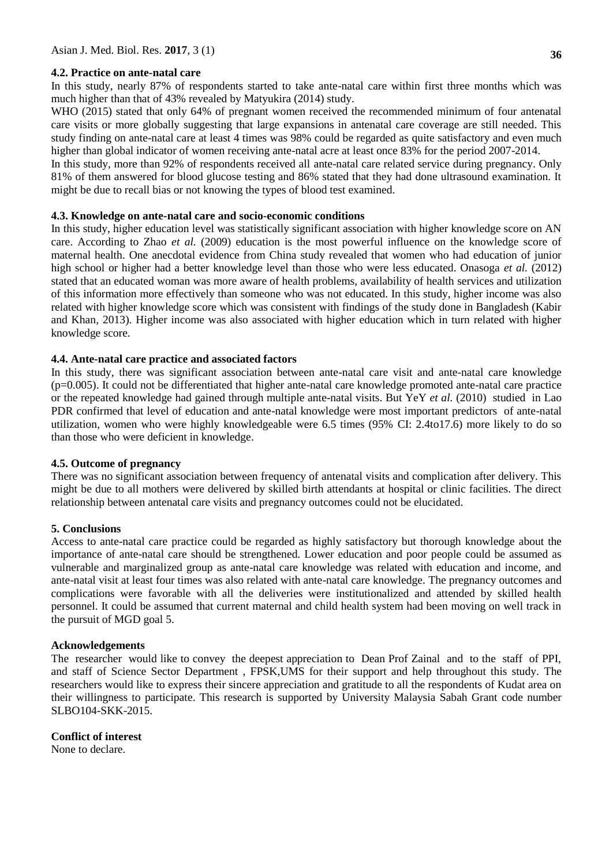# **4.2. Practice on ante-natal care**

In this study, nearly 87% of respondents started to take ante-natal care within first three months which was much higher than that of 43% revealed by Matyukira (2014) study.

WHO (2015) stated that only 64% of pregnant women received the recommended minimum of four antenatal care visits or more globally suggesting that large expansions in antenatal care coverage are still needed. This study finding on ante-natal care at least 4 times was 98% could be regarded as quite satisfactory and even much higher than global indicator of women receiving ante-natal acre at least once 83% for the period 2007-2014.

In this study, more than 92% of respondents received all ante-natal care related service during pregnancy. Only 81% of them answered for blood glucose testing and 86% stated that they had done ultrasound examination. It might be due to recall bias or not knowing the types of blood test examined.

### **4.3. Knowledge on ante-natal care and socio-economic conditions**

In this study, higher education level was statistically significant association with higher knowledge score on AN care. According to Zhao *et al.* (2009) education is the most powerful influence on the knowledge score of maternal health. One anecdotal evidence from China study revealed that women who had education of junior high school or higher had a better knowledge level than those who were less educated. Onasoga *et al.* (2012) stated that an educated woman was more aware of health problems, availability of health services and utilization of this information more effectively than someone who was not educated. In this study, higher income was also related with higher knowledge score which was consistent with findings of the study done in Bangladesh (Kabir and Khan*,* 2013). Higher income was also associated with higher education which in turn related with higher knowledge score.

#### **4.4. Ante-natal care practice and associated factors**

In this study, there was significant association between ante-natal care visit and ante-natal care knowledge  $(p=0.005)$ . It could not be differentiated that higher ante-natal care knowledge promoted ante-natal care practice or the repeated knowledge had gained through multiple ante-natal visits. But YeY *et al.* (2010) studied in Lao PDR confirmed that level of education and ante-natal knowledge were most important predictors of ante-natal utilization, women who were highly knowledgeable were 6.5 times (95% CI: 2.4to17.6) more likely to do so than those who were deficient in knowledge.

# **4.5. Outcome of pregnancy**

There was no significant association between frequency of antenatal visits and complication after delivery. This might be due to all mothers were delivered by skilled birth attendants at hospital or clinic facilities. The direct relationship between antenatal care visits and pregnancy outcomes could not be elucidated.

# **5. Conclusions**

Access to ante-natal care practice could be regarded as highly satisfactory but thorough knowledge about the importance of ante-natal care should be strengthened. Lower education and poor people could be assumed as vulnerable and marginalized group as ante-natal care knowledge was related with education and income, and ante-natal visit at least four times was also related with ante-natal care knowledge. The pregnancy outcomes and complications were favorable with all the deliveries were institutionalized and attended by skilled health personnel. It could be assumed that current maternal and child health system had been moving on well track in the pursuit of MGD goal 5.

#### **Acknowledgements**

The researcher would like to convey the deepest appreciation to Dean Prof Zainal and to the staff of PPI, and staff of Science Sector Department , FPSK,UMS for their support and help throughout this study. The researchers would like to express their sincere appreciation and gratitude to all the respondents of Kudat area on their willingness to participate. This research is supported by University Malaysia Sabah Grant code number SLBO104-SKK-2015.

# **Conflict of interest**

None to declare.